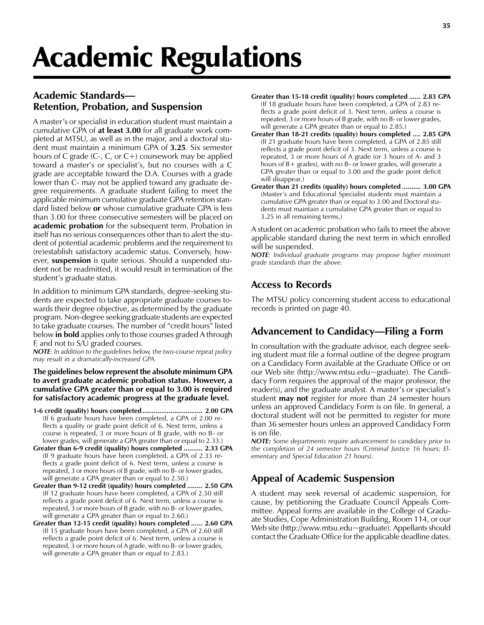# Academic Regulations

## Academic Standards Retention, Probation, and Suspension

A master's or specialist in education student must maintain a cumulative GPA of at least 3.00 for all graduate work completed at MTSU, as well as in the major, and a doctoral student must maintain a minimum GPA of 3.25. Six semester hours of C grade  $(C_7, C_7)$  or  $C_7$  coursework may be applied toward a master's or specialist's, but no courses with a C grade are acceptable toward the D.A. Courses with a grade lower than C- may not be applied toward any graduate degree requirements. A graduate student failing to meet the applicable minimum cumulative graduate GPA retention standard listed below or whose cumulative graduate GPA is less than 3.00 for three consecutive semesters will be placed on **academic probation** for the subsequent term. Probation in itself has no serious consequences other than to alert the student of potential academic problems and the requirement to (re)establish satisfactory academic status. Conversely, however, suspension is quite serious. Should a suspended student not be readmitted, it would result in termination of the student's graduate status.

In addition to minimum GPA standards, degree-seeking students are expected to take appropriate graduate courses towards their degree objective, as determined by the graduate program. Non-degree seeking graduate students are expected to take graduate courses. The number of "credit hours" listed below **in bold** applies only to those courses graded A through F, and not to S/U graded courses.

NOTE: In addition to the guidelines below, the two-course repeat policy may result in a dramatically-increased GPA.

#### The guidelines below represent the absolute minimum GPA to avert graduate academic probation status. However, a cumulative GPA greater than or equal to 3.00 is required for satisfactory academic progress at the graduate level.

- 1-6 credit (quality) hours completed................................ 2.00 GPA (If 6 graduate hours have been completed, a GPA of 2.00 reflects a quality or grade point deficit of 6. Next term, unless a course is repeated, 3 or more hours of B grade, with no B- or lower grades, will generate a GPA greater than or equal to 2.33.)
- Greater than 6-9 credit (quality) hours completed .......... 2.33 GPA (If 9 graduate hours have been completed, a GPA of 2.33 reflects a grade point deficit of 6. Next term, unless a course is repeated, 3 or more hours of B grade, with no B- or lower grades, will generate a GPA greater than or equal to 2.50.)
- Greater than 9-12 credit (quality) hours completed ........ 2.50 GPA (If 12 graduate hours have been completed, a GPA of 2.50 still reflects a grade point deficit of 6. Next term, unless a course is repeated, 3 or more hours of B grade, with no B- or lower grades, will generate a GPA greater than or equal to 2.60.)
- Greater than 12-15 credit (quality) hours completed ...... 2.60 GPA (If 15 graduate hours have been completed, a GPA of 2.60 still reflects a grade point deficit of 6. Next term, unless a course is repeated, 3 or more hours of A grade, with no B- or lower grades, will generate a GPA greater than or equal to 2.83.)
- Greater than 15-18 credit (quality) hours completed ...... 2.83 GPA (If 18 graduate hours have been completed, a GPA of 2.83 reflects a grade point deficit of 3. Next term, unless a course is repeated, 3 or more hours of B grade, with no B- or lower grades, will generate a GPA greater than or equal to 2.85.)
- Greater than 18-21 credits (quality) hours completed .... 2.85 GPA (If 21 graduate hours have been completed, a GPA of 2.85 still reflects a grade point deficit of 3. Next term, unless a course is repeated, 3 or more hours of A grade (or 3 hours of A- and 3 hours of B+ grades), with no B- or lower grades, will generate a GPA greater than or equal to 3.00 and the grade point deficit will disappear.)
- Greater than 21 credits (quality) hours completed .......... 3.00 GPA (Master's and Educational Specialist students must maintain a cumulative GPA greater than or equal to 3.00 and Doctoral students must maintain a cumulative GPA greater than or equal to 3.25 in all remaining terms.)

A student on academic probation who fails to meet the above applicable standard during the next term in which enrolled will be suspended.

NOTE: Individual graduate programs may propose higher minimum grade standards than the above.

# Access to Records

The MTSU policy concerning student access to educational records is printed on page 40.

# Advancement to Candidacy—Filing a Form

In consultation with the graduate advisor, each degree seeking student must file a formal outline of the degree program on a Candidacy Form available at the Graduate Office or on our Web site (http://www.mtsu.edu~graduate). The Candidacy Form requires the approval of the major professor, the reader(s), and the graduate analyst. A master's or specialist's student may not register for more than 24 semester hours unless an approved Candidacy Form is on file. In general, a doctoral student will not be permitted to register for more than 36 semester hours unless an approved Candidacy Form is on file.

NOTE: Some departments require advancement to candidacy prior to the completion of 24 semester hours (Criminal Justice 16 hours; Elementary and Special Education 21 hours).

# Appeal of Academic Suspension

A student may seek reversal of academic suspension, for cause, by petitioning the Graduate Council Appeals Committee. Appeal forms are available in the College of Graduate Studies, Cope Administration Building, Room 114, or our Web site (http://www.mtsu.edu~graduate). Appellants should contact the Graduate Office for the applicable deadline dates.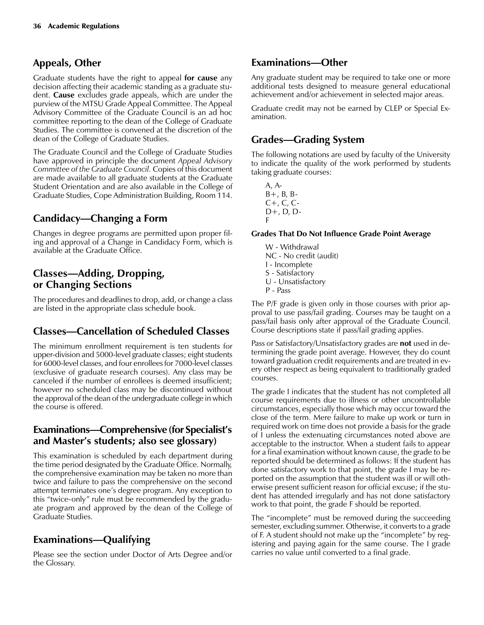## Appeals, Other

Graduate students have the right to appeal for cause any decision affecting their academic standing as a graduate student. Cause excludes grade appeals, which are under the purview of the MTSU Grade Appeal Committee. The Appeal Advisory Committee of the Graduate Council is an ad hoc committee reporting to the dean of the College of Graduate Studies. The committee is convened at the discretion of the dean of the College of Graduate Studies.

The Graduate Council and the College of Graduate Studies have approved in principle the document Appeal Advisory Committee of the Graduate Council. Copies of this document are made available to all graduate students at the Graduate Student Orientation and are also available in the College of Graduate Studies, Cope Administration Building, Room 114.

## Candidacy—Changing a Form

Changes in degree programs are permitted upon proper filing and approval of a Change in Candidacy Form, which is available at the Graduate Office.

## Classes—Adding, Dropping, or Changing Sections

The procedures and deadlines to drop, add, or change a class are listed in the appropriate class schedule book.

# Classes—Cancellation of Scheduled Classes

The minimum enrollment requirement is ten students for upper-division and 5000-level graduate classes; eight students for 6000-level classes, and four enrollees for 7000-level classes (exclusive of graduate research courses). Any class may be canceled if the number of enrollees is deemed insufficient; however no scheduled class may be discontinued without the approval of the dean of the undergraduate college in which the course is offered.

### Examinations—Comprehensive (for Specialist's and Master's students; also see glossary)

This examination is scheduled by each department during the time period designated by the Graduate Office. Normally, the comprehensive examination may be taken no more than twice and failure to pass the comprehensive on the second attempt terminates one's degree program. Any exception to this "twice-only" rule must be recommended by the graduate program and approved by the dean of the College of Graduate Studies.

# Examinations-Qualifying

Please see the section under Doctor of Arts Degree and/or the Glossary.

## Examinations-Other

Any graduate student may be required to take one or more additional tests designed to measure general educational achievement and/or achievement in selected major areas.

Graduate credit may not be earned by CLEP or Special Examination.

## Grades—Grading System

The following notations are used by faculty of the University to indicate the quality of the work performed by students taking graduate courses:

A, A- $B+$ ,  $B$ ,  $B-$ C+, C, C-D+, D, D-F

#### Grades That Do Not Influence Grade Point Average

W - Withdrawal NC - No credit (audit) I - Incomplete S - Satisfactory U - Unsatisfactory P - Pass

The P/F grade is given only in those courses with prior approval to use pass/fail grading. Courses may be taught on a pass/fail basis only after approval of the Graduate Council. Course descriptions state if pass/fail grading applies.

Pass or Satisfactory/Unsatisfactory grades are **not** used in determining the grade point average. However, they do count toward graduation credit requirements and are treated in every other respect as being equivalent to traditionally graded courses.

The grade I indicates that the student has not completed all course requirements due to illness or other uncontrollable circumstances, especially those which may occur toward the close of the term. Mere failure to make up work or turn in required work on time does not provide a basis for the grade of I unless the extenuating circumstances noted above are acceptable to the instructor. When a student fails to appear for a final examination without known cause, the grade to be reported should be determined as follows: If the student has done satisfactory work to that point, the grade I may be reported on the assumption that the student was ill or will otherwise present sufficient reason for official excuse; if the student has attended irregularly and has not done satisfactory work to that point, the grade F should be reported.

The "incomplete" must be removed during the succeeding semester, excluding summer. Otherwise, it converts to a grade of F. A student should not make up the "incomplete" by registering and paying again for the same course. The I grade carries no value until converted to a final grade.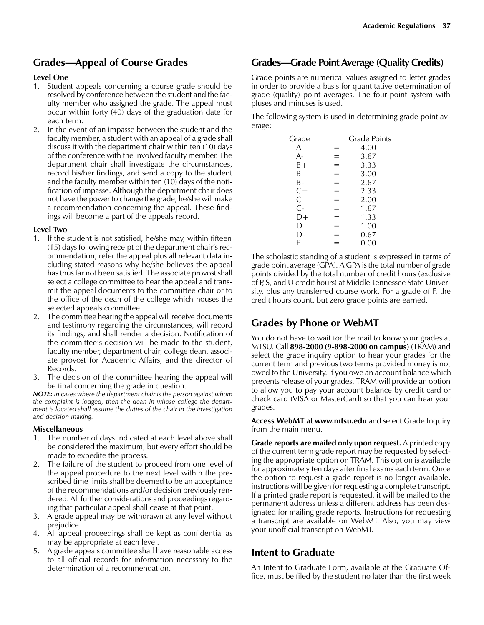## Grades—Appeal of Course Grades

#### Level One

- 1. Student appeals concerning a course grade should be resolved by conference between the student and the faculty member who assigned the grade. The appeal must occur within forty (40) days of the graduation date for each term.
- 2. In the event of an impasse between the student and the faculty member, a student with an appeal of a grade shall discuss it with the department chair within ten (10) days of the conference with the involved faculty member. The department chair shall investigate the circumstances, record his/her findings, and send a copy to the student and the faculty member within ten (10) days of the notification of impasse. Although the department chair does not have the power to change the grade, he/she will make a recommendation concerning the appeal. These findings will become a part of the appeals record.

#### Level Two

- 1. If the student is not satisfied, he/she may, within fifteen  $(15)$  days following receipt of the department chair's recommendation, refer the appeal plus all relevant data including stated reasons why he/she believes the appeal has thus far not been satisfied. The associate provost shall select a college committee to hear the appeal and transmit the appeal documents to the committee chair or to the office of the dean of the college which houses the selected appeals committee.
- 2. The committee hearing the appeal will receive documents and testimony regarding the circumstances, will record its findings, and shall render a decision. Notification of the committee's decision will be made to the student, faculty member, department chair, college dean, associate provost for Academic Affairs, and the director of Records.
- 3. The decision of the committee hearing the appeal will be final concerning the grade in question.

NOTE: In cases where the department chair is the person against whom the complaint is lodged, then the dean in whose college the department is located shall assume the duties of the chair in the investigation and decision making.

#### Miscellaneous

- 1. The number of days indicated at each level above shall be considered the maximum, but every effort should be made to expedite the process.
- 2. The failure of the student to proceed from one level of the appeal procedure to the next level within the prescribed time limits shall be deemed to be an acceptance of the recommendations and/or decision previously rendered. All further considerations and proceedings regarding that particular appeal shall cease at that point.
- 3. A grade appeal may be withdrawn at any level without prejudice.
- 4. All appeal proceedings shall be kept as confidential as may be appropriate at each level.
- 5. A grade appeals committee shall have reasonable access to all official records for information necessary to the determination of a recommendation.

## Grades—Grade Point Average (Quality Credits)

Grade points are numerical values assigned to letter grades in order to provide a basis for quantitative determination of grade (quality) point averages. The four-point system with pluses and minuses is used.

The following system is used in determining grade point average:

| Grade |   | <b>Grade Points</b> |
|-------|---|---------------------|
| A     |   | 4.00                |
| А-    |   | 3.67                |
| B+    | = | 3.33                |
| B     |   | 3.00                |
| В-    |   | 2.67                |
| $C+$  |   | 2.33                |
| C     | = | 2.00                |
| $C-$  | = | 1.67                |
| D+    |   | 1.33                |
| D     |   | 1.00                |
| D-    |   | 0.67                |
| F     |   | 0.00                |
|       |   |                     |

The scholastic standing of a student is expressed in terms of grade point average (GPA). A GPA is the total number of grade points divided by the total number of credit hours (exclusive of P, S, and U credit hours) at Middle Tennessee State University, plus any transferred course work. For a grade of F, the credit hours count, but zero grade points are earned.

# Grades by Phone or WebMT

You do not have to wait for the mail to know your grades at MTSU. Call 898-2000 (9-898-2000 on campus) (TRAM) and select the grade inquiry option to hear your grades for the current term and previous two terms provided money is not owed to the University. If you owe an account balance which prevents release of your grades, TRAM will provide an option to allow you to pay your account balance by credit card or check card (VISA or MasterCard) so that you can hear your grades.

Access WebMT at www.mtsu.edu and select Grade Inquiry from the main menu.

Grade reports are mailed only upon request. A printed copy of the current term grade report may be requested by selecting the appropriate option on TRAM. This option is available for approximately ten days after final exams each term. Once the option to request a grade report is no longer available, instructions will be given for requesting a complete transcript. If a printed grade report is requested, it will be mailed to the permanent address unless a different address has been designated for mailing grade reports. Instructions for requesting a transcript are available on WebMT. Also, you may view your unofficial transcript on WebMT.

## Intent to Graduate

An Intent to Graduate Form, available at the Graduate Office, must be filed by the student no later than the first week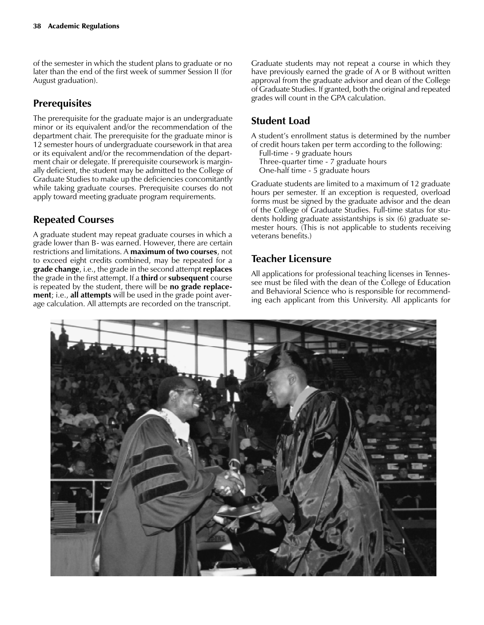of the semester in which the student plans to graduate or no later than the end of the first week of summer Session II (for August graduation).

## **Prerequisites**

The prerequisite for the graduate major is an undergraduate minor or its equivalent and/or the recommendation of the department chair. The prerequisite for the graduate minor is 12 semester hours of undergraduate coursework in that area or its equivalent and/or the recommendation of the department chair or delegate. If prerequisite coursework is marginally deficient, the student may be admitted to the College of Graduate Studies to make up the deficiencies concomitantly while taking graduate courses. Prerequisite courses do not apply toward meeting graduate program requirements.

## Repeated Courses

A graduate student may repeat graduate courses in which a grade lower than B- was earned. However, there are certain restrictions and limitations. A maximum of two courses, not to exceed eight credits combined, may be repeated for a grade change, i.e., the grade in the second attempt replaces the grade in the first attempt. If a third or subsequent course is repeated by the student, there will be no grade replacement; i.e., all attempts will be used in the grade point average calculation. All attempts are recorded on the transcript.

Graduate students may not repeat a course in which they have previously earned the grade of A or B without written approval from the graduate advisor and dean of the College of Graduate Studies. If granted, both the original and repeated grades will count in the GPA calculation.

# Student Load

A student's enrollment status is determined by the number of credit hours taken per term according to the following:

Full-time - 9 graduate hours

Three-quarter time - 7 graduate hours

One-half time - 5 graduate hours

Graduate students are limited to a maximum of 12 graduate hours per semester. If an exception is requested, overload forms must be signed by the graduate advisor and the dean of the College of Graduate Studies. Full-time status for students holding graduate assistantships is six (6) graduate semester hours. (This is not applicable to students receiving veterans benefits.)

## Teacher Licensure

All applications for professional teaching licenses in Tennessee must be filed with the dean of the College of Education and Behavioral Science who is responsible for recommending each applicant from this University. All applicants for